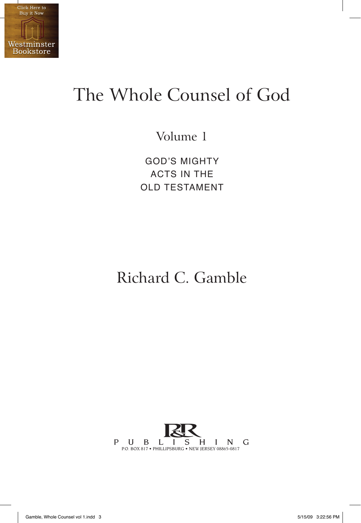

# The Whole Counsel of God

Volume 1

God's Mighty **ACTS IN THE** Old Testament

# Richard C. Gamble

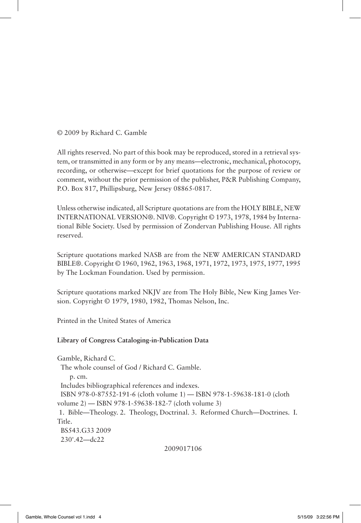© 2009 by Richard C. Gamble

All rights reserved. No part of this book may be reproduced, stored in a retrieval system, or transmitted in any form or by any means—electronic, mechanical, photocopy, recording, or otherwise—except for brief quotations for the purpose of review or comment, without the prior permission of the publisher, P&R Publishing Company, P.O. Box 817, Phillipsburg, New Jersey 08865-0817.

Unless otherwise indicated, all Scripture quotations are from the HOLY BIBLE, NEW INTERNATIONAL VERSION®. NIV®. Copyright © 1973, 1978, 1984 by International Bible Society. Used by permission of Zondervan Publishing House. All rights reserved.

Scripture quotations marked NASB are from the NEW AMERICAN STANDARD Bible®. Copyright © 1960, 1962, 1963, 1968, 1971, 1972, 1973, 1975, 1977, 1995 by The Lockman Foundation. Used by permission.

Scripture quotations marked nkjv are from The Holy Bible, New King James Version. Copyright © 1979, 1980, 1982, Thomas Nelson, Inc.

Printed in the United States of America

### **Library of Congress Cataloging-in-Publication Data**

Gamble, Richard C. The whole counsel of God / Richard C. Gamble. p. cm. Includes bibliographical references and indexes. ISBN 978-0-87552-191-6 (cloth volume 1) — ISBN 978-1-59638-181-0 (cloth volume 2) — ISBN 978-1-59638-182-7 (cloth volume 3) 1. Bible—Theology. 2. Theology, Doctrinal. 3. Reformed Church—Doctrines. I. Title. BS543.G33 2009 230'.42—dc22

2009017106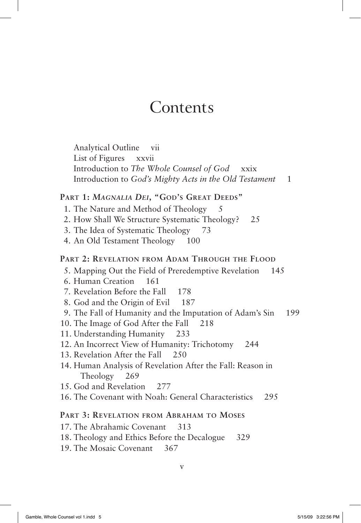## **Contents**

Analytical Outline vii List of Figures xxvii Introduction to *The Whole Counsel of God* xxix Introduction to *God's Mighty Acts in the Old Testament* 1

### **Part 1:** *Magnalia Dei***, "God's Great Deeds"**

- 1. The Nature and Method of Theology 5
- 2. How Shall We Structure Systematic Theology? 25
- 3. The Idea of Systematic Theology 73
- 4. An Old Testament Theology 100

### **Part 2: Revelation from Adam Through the Flood**

- 5. Mapping Out the Field of Preredemptive Revelation 145
- 6. Human Creation 161
- 7. Revelation Before the Fall 178
- 8. God and the Origin of Evil 187
- 9. The Fall of Humanity and the Imputation of Adam's Sin 199
- 10. The Image of God After the Fall 218
- 11. Understanding Humanity 233
- 12. An Incorrect View of Humanity: Trichotomy 244
- 13. Revelation After the Fall 250
- 14. Human Analysis of Revelation After the Fall: Reason in Theology 269
- 15. God and Revelation 277
- 16. The Covenant with Noah: General Characteristics 295

### **Part 3: Revelation from Abraham to Moses**

- 17. The Abrahamic Covenant 313
- 18. Theology and Ethics Before the Decalogue 329
- 19. The Mosaic Covenant 367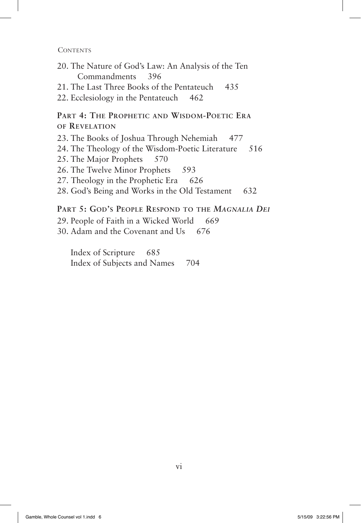### **CONTENTS**

20. The Nature of God's Law: An Analysis of the Ten Commandments 396 21. The Last Three Books of the Pentateuch 435 22. Ecclesiology in the Pentateuch 462

**Part 4: The Prophetic and Wisdom-Poetic Era of Revelation**

23. The Books of Joshua Through Nehemiah 477

24. The Theology of the Wisdom-Poetic Literature 516

25. The Major Prophets 570

26. The Twelve Minor Prophets 593

27. Theology in the Prophetic Era 626

28. God's Being and Works in the Old Testament 632

### **Part 5: God's People Respond to the** *Magnalia Dei*

29. People of Faith in a Wicked World 669

30. Adam and the Covenant and Us 676

Index of Scripture 685 Index of Subjects and Names 704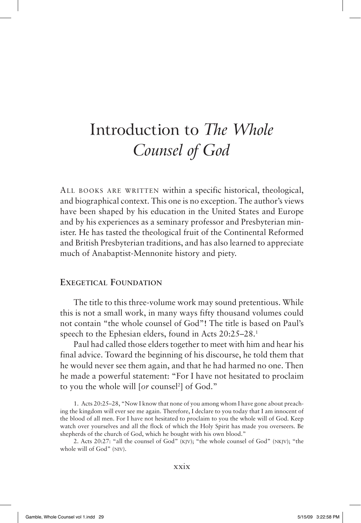# Introduction to *The Whole Counsel of God*

ALL BOOKS ARE WRITTEN within a specific historical, theological, and biographical context. This one is no exception. The author's views have been shaped by his education in the United States and Europe and by his experiences as a seminary professor and Presbyterian minister. He has tasted the theological fruit of the Continental Reformed and British Presbyterian traditions, and has also learned to appreciate much of Anabaptist-Mennonite history and piety.

## **Exegetical Foundation**

The title to this three-volume work may sound pretentious. While this is not a small work, in many ways fifty thousand volumes could not contain "the whole counsel of God"! The title is based on Paul's speech to the Ephesian elders, found in Acts 20:25–28.<sup>1</sup>

Paul had called those elders together to meet with him and hear his final advice. Toward the beginning of his discourse, he told them that he would never see them again, and that he had harmed no one. Then he made a powerful statement: "For I have not hesitated to proclaim to you the whole will [*or* counsel2 ] of God."

1. Acts 20:25–28, "Now I know that none of you among whom I have gone about preaching the kingdom will ever see me again. Therefore, I declare to you today that I am innocent of the blood of all men. For I have not hesitated to proclaim to you the whole will of God. Keep watch over yourselves and all the flock of which the Holy Spirit has made you overseers. Be shepherds of the church of God, which he bought with his own blood."

2. Acts 20:27: "all the counsel of God" (kjv); "the whole counsel of God" (nkjv); "the whole will of God" (NIV).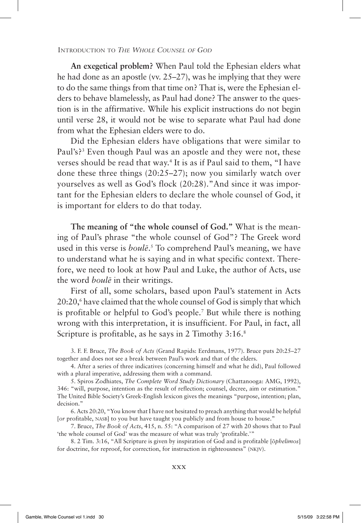#### Introduction to *The Whole Counsel of God*

**An exegetical problem?** When Paul told the Ephesian elders what he had done as an apostle (vv. 25–27), was he implying that they were to do the same things from that time on? That is, were the Ephesian elders to behave blamelessly, as Paul had done? The answer to the question is in the affirmative. While his explicit instructions do not begin until verse 28, it would not be wise to separate what Paul had done from what the Ephesian elders were to do.

Did the Ephesian elders have obligations that were similar to Paul's?<sup>3</sup> Even though Paul was an apostle and they were not, these verses should be read that way.<sup>4</sup> It is as if Paul said to them, "I have done these three things (20:25–27); now you similarly watch over yourselves as well as God's flock (20:28)."And since it was important for the Ephesian elders to declare the whole counsel of God, it is important for elders to do that today.

**The meaning of "the whole counsel of God."** What is the meaning of Paul's phrase "the whole counsel of God"? The Greek word used in this verse is *boule*.<sup>5</sup> To comprehend Paul's meaning, we have to understand what he is saying and in what specific context. Therefore, we need to look at how Paul and Luke, the author of Acts, use the word *boul* in their writings.

First of all, some scholars, based upon Paul's statement in Acts 20:20,<sup>6</sup> have claimed that the whole counsel of God is simply that which is profitable or helpful to God's people.7 But while there is nothing wrong with this interpretation, it is insufficient. For Paul, in fact, all Scripture is profitable, as he says in 2 Timothy 3:16.<sup>8</sup>

3. F. F. Bruce, *The Book of Acts* (Grand Rapids: Eerdmans, 1977). Bruce puts 20:25–27 together and does not see a break between Paul's work and that of the elders.

4. After a series of three indicatives (concerning himself and what he did), Paul followed with a plural imperative, addressing them with a command.

6. Acts 20:20, "You know that I have not hesitated to preach anything that would be helpful [or profitable, NASB] to you but have taught you publicly and from house to house."

7. Bruce, *The Book of Acts*, 415, n. 55: "A comparison of 27 with 20 shows that to Paul 'the whole counsel of God' was the measure of what was truly 'profitable.'"

8. 2 Tim. 3:16, "All Scripture is given by inspiration of God and is profitable [ $\bar{o}$ phelimos] for doctrine, for reproof, for correction, for instruction in righteousness" (nkjv).

<sup>5.</sup> Spiros Zodhiates, *The Complete Word Study Dictionary* (Chattanooga: AMG, 1992), 346: "will, purpose, intention as the result of reflection; counsel, decree, aim or estimation." The United Bible Society's Greek-English lexicon gives the meanings "purpose, intention; plan, decision."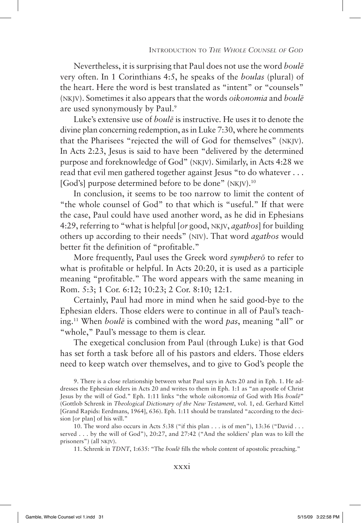Nevertheless, it is surprising that Paul does not use the word *boule* very often. In 1 Corinthians 4:5, he speaks of the *boulas* (plural) of the heart. Here the word is best translated as "intent" or "counsels" (NKJV). Sometimes it also appears that the words *oikonomia* and *boule* are used synonymously by Paul.9

Luke's extensive use of *boule* is instructive. He uses it to denote the divine plan concerning redemption, as in Luke 7:30, where he comments that the Pharisees "rejected the will of God for themselves" (nkjv). In Acts 2:23, Jesus is said to have been "delivered by the determined purpose and foreknowledge of God" (nkjv). Similarly, in Acts 4:28 we read that evil men gathered together against Jesus "to do whatever . . . [God's] purpose determined before to be done" (NKJV).<sup>10</sup>

In conclusion, it seems to be too narrow to limit the content of "the whole counsel of God" to that which is "useful." If that were the case, Paul could have used another word, as he did in Ephesians 4:29, referring to "what is helpful [*or* good, nkjv, *agathos*] for building others up according to their needs" (niv). That word *agathos* would better fit the definition of "profitable."

More frequently, Paul uses the Greek word *symphero* to refer to what is profitable or helpful. In Acts 20:20, it is used as a participle meaning "profitable." The word appears with the same meaning in Rom. 5:3; 1 Cor. 6:12; 10:23; 2 Cor. 8:10; 12:1.

Certainly, Paul had more in mind when he said good-bye to the Ephesian elders. Those elders were to continue in all of Paul's teaching.<sup>11</sup> When *boul e* is combined with the word *pas*, meaning "all" or "whole," Paul's message to them is clear.

The exegetical conclusion from Paul (through Luke) is that God has set forth a task before all of his pastors and elders. Those elders need to keep watch over themselves, and to give to God's people the

9. There is a close relationship between what Paul says in Acts 20 and in Eph. 1. He addresses the Ephesian elders in Acts 20 and writes to them in Eph. 1:1 as "an apostle of Christ Jesus by the will of God." Eph. 1:11 links "the whole *oikonomia* of God with His *boule*" (Gottlob Schrenk in *Theological Dictionary of the New Testament*, vol. 1, ed. Gerhard Kittel [Grand Rapids: Eerdmans, 1964], 636). Eph. 1:11 should be translated "according to the decision [*or* plan] of his will."

10. The word also occurs in Acts 5:38 ("if this plan . . . is of men"), 13:36 ("David . . . served . . . by the will of God"), 20:27, and 27:42 ("And the soldiers' plan was to kill the prisoners") (all NKJV).

11. Schrenk in *TDNT*, 1:635: "The *boulē* fills the whole content of apostolic preaching."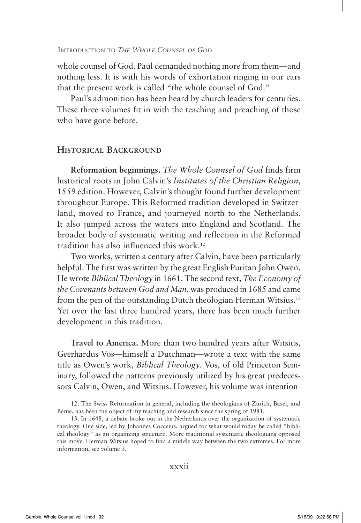### Introduction to *The Whole Counsel of God*

whole counsel of God. Paul demanded nothing more from them—and nothing less. It is with his words of exhortation ringing in our ears that the present work is called "the whole counsel of God."

Paul's admonition has been heard by church leaders for centuries. These three volumes fit in with the teaching and preaching of those who have gone before.

### **Historical Background**

**Reformation beginnings.** *The Whole Counsel of God* finds firm historical roots in John Calvin's *Institutes of the Christian Religion*, 1559 edition. However, Calvin's thought found further development throughout Europe. This Reformed tradition developed in Switzerland, moved to France, and journeyed north to the Netherlands. It also jumped across the waters into England and Scotland. The broader body of systematic writing and reflection in the Reformed tradition has also influenced this work.12

Two works, written a century after Calvin, have been particularly helpful. The first was written by the great English Puritan John Owen. He wrote *Biblical Theology* in 1661. The second text, *The Economy of the Covenants between God and Man*, was produced in 1685 and came from the pen of the outstanding Dutch theologian Herman Witsius.13 Yet over the last three hundred years, there has been much further development in this tradition.

**Travel to America.** More than two hundred years after Witsius, Geerhardus Vos—himself a Dutchman—wrote a text with the same title as Owen's work, *Biblical Theology*. Vos, of old Princeton Seminary, followed the patterns previously utilized by his great predecessors Calvin, Owen, and Witsius. However, his volume was intention-

<sup>12.</sup> The Swiss Reformation in general, including the theologians of Zurich, Basel, and Berne, has been the object of my teaching and research since the spring of 1981.

<sup>13.</sup> In 1648, a debate broke out in the Netherlands over the organization of systematic theology. One side, led by Johannes Cocceius, argued for what would today be called "biblical theology" as an organizing structure. More traditional systematic theologians opposed this move. Herman Witsius hoped to find a middle way between the two extremes. For more information, see volume 3.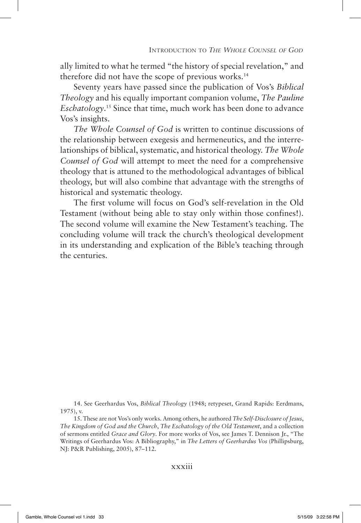ally limited to what he termed "the history of special revelation," and therefore did not have the scope of previous works.<sup>14</sup>

Seventy years have passed since the publication of Vos's *Biblical Theology* and his equally important companion volume, *The Pauline Eschatology*. 15 Since that time, much work has been done to advance Vos's insights.

*The Whole Counsel of God* is written to continue discussions of the relationship between exegesis and hermeneutics, and the interrelationships of biblical, systematic, and historical theology. *The Whole Counsel of God* will attempt to meet the need for a comprehensive theology that is attuned to the methodological advantages of biblical theology, but will also combine that advantage with the strengths of historical and systematic theology.

The first volume will focus on God's self-revelation in the Old Testament (without being able to stay only within those confines!). The second volume will examine the New Testament's teaching. The concluding volume will track the church's theological development in its understanding and explication of the Bible's teaching through the centuries.

14. See Geerhardus Vos, *Biblical Theology* (1948; retypeset, Grand Rapids: Eerdmans, 1975), v.

15. These are not Vos's only works. Among others, he authored *The Self-Disclosure of Jesus*, *The Kingdom of God and the Church*, *The Eschatology of the Old Testament*, and a collection of sermons entitled *Grace and Glory*. For more works of Vos, see James T. Dennison Jr., "The Writings of Geerhardus Vos: A Bibliography," in *The Letters of Geerhardus Vos* (Phillipsburg, NJ: P&R Publishing, 2005), 87–112.

xxxiii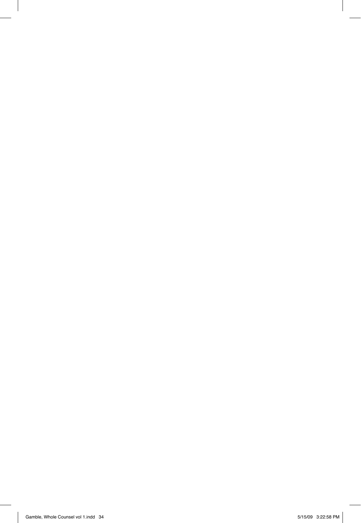$\overline{\phantom{a}}$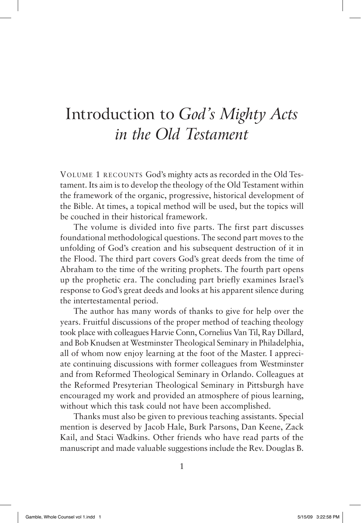## Introduction to *God's Mighty Acts in the Old Testament*

Volume 1 recounts God's mighty acts as recorded in the Old Testament. Its aim is to develop the theology of the Old Testament within the framework of the organic, progressive, historical development of the Bible. At times, a topical method will be used, but the topics will be couched in their historical framework.

The volume is divided into five parts. The first part discusses foundational methodological questions. The second part moves to the unfolding of God's creation and his subsequent destruction of it in the Flood. The third part covers God's great deeds from the time of Abraham to the time of the writing prophets. The fourth part opens up the prophetic era. The concluding part briefly examines Israel's response to God's great deeds and looks at his apparent silence during the intertestamental period.

The author has many words of thanks to give for help over the years. Fruitful discussions of the proper method of teaching theology took place with colleagues Harvie Conn, Cornelius Van Til, Ray Dillard, and Bob Knudsen at Westminster Theological Seminary in Philadelphia, all of whom now enjoy learning at the foot of the Master. I appreciate continuing discussions with former colleagues from Westminster and from Reformed Theological Seminary in Orlando. Colleagues at the Reformed Presyterian Theological Seminary in Pittsburgh have encouraged my work and provided an atmosphere of pious learning, without which this task could not have been accomplished.

Thanks must also be given to previous teaching assistants. Special mention is deserved by Jacob Hale, Burk Parsons, Dan Keene, Zack Kail, and Staci Wadkins. Other friends who have read parts of the manuscript and made valuable suggestions include the Rev. Douglas B.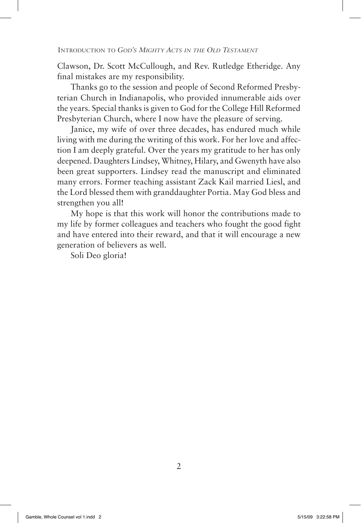Introduction to *God's Mighty Acts in the Old Testament*

Clawson, Dr. Scott McCullough, and Rev. Rutledge Etheridge. Any final mistakes are my responsibility.

Thanks go to the session and people of Second Reformed Presbyterian Church in Indianapolis, who provided innumerable aids over the years. Special thanks is given to God for the College Hill Reformed Presbyterian Church, where I now have the pleasure of serving.

Janice, my wife of over three decades, has endured much while living with me during the writing of this work. For her love and affection I am deeply grateful. Over the years my gratitude to her has only deepened. Daughters Lindsey, Whitney, Hilary, and Gwenyth have also been great supporters. Lindsey read the manuscript and eliminated many errors. Former teaching assistant Zack Kail married Liesl, and the Lord blessed them with granddaughter Portia. May God bless and strengthen you all!

My hope is that this work will honor the contributions made to my life by former colleagues and teachers who fought the good fight and have entered into their reward, and that it will encourage a new generation of believers as well.

Soli Deo gloria!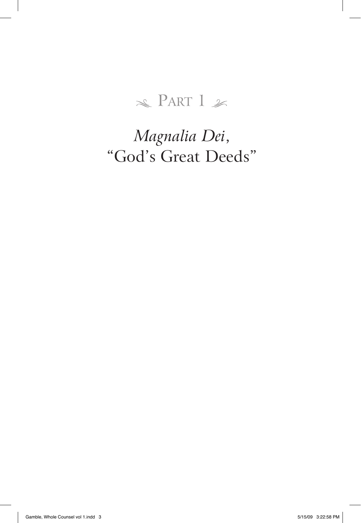## *<sup>i</sup>* Part 1 *<sup>j</sup>*

# *Magnalia Dei*, "God's Great Deeds"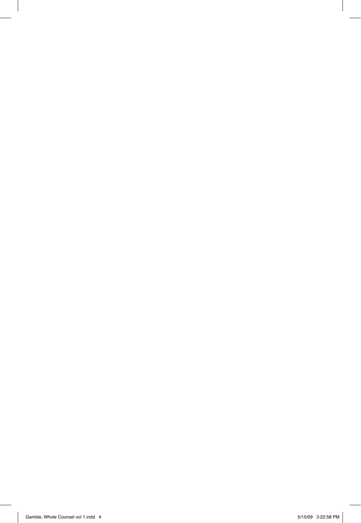I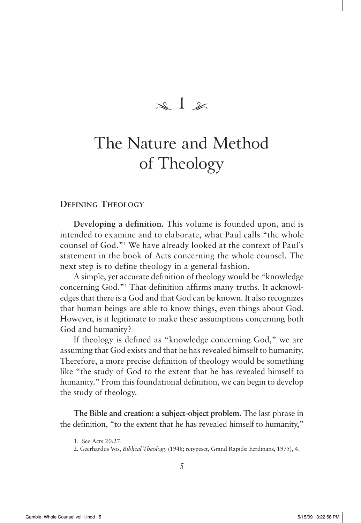*<sup>i</sup>*1 *<sup>j</sup>*

# The Nature and Method of Theology

**Defining Theology**

**Developing a definition.** This volume is founded upon, and is intended to examine and to elaborate, what Paul calls "the whole counsel of God."1 We have already looked at the context of Paul's statement in the book of Acts concerning the whole counsel. The next step is to define theology in a general fashion.

A simple, yet accurate definition of theology would be "knowledge concerning God."2 That definition affirms many truths. It acknowledges that there is a God and that God can be known. It also recognizes that human beings are able to know things, even things about God. However, is it legitimate to make these assumptions concerning both God and humanity?

If theology is defined as "knowledge concerning God," we are assuming that God exists and that he has revealed himself to humanity. Therefore, a more precise definition of theology would be something like "the study of God to the extent that he has revealed himself to humanity." From this foundational definition, we can begin to develop the study of theology.

**The Bible and creation: a subject-object problem.** The last phrase in the definition, "to the extent that he has revealed himself to humanity,"

- 1. See Acts 20:27.
- 2. Geerhardus Vos, *Biblical Theology* (1948; retypeset, Grand Rapids: Eerdmans, 1975), 4.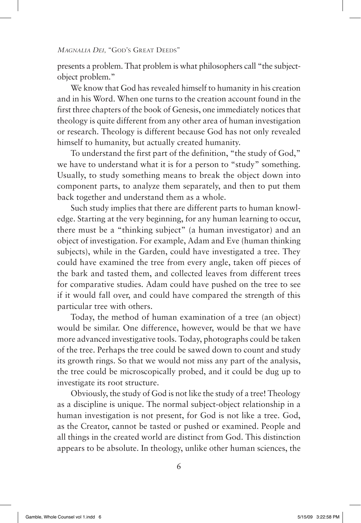presents a problem. That problem is what philosophers call "the subjectobject problem."

We know that God has revealed himself to humanity in his creation and in his Word. When one turns to the creation account found in the first three chapters of the book of Genesis, one immediately notices that theology is quite different from any other area of human investigation or research. Theology is different because God has not only revealed himself to humanity, but actually created humanity.

To understand the first part of the definition, "the study of God," we have to understand what it is for a person to "study" something. Usually, to study something means to break the object down into component parts, to analyze them separately, and then to put them back together and understand them as a whole.

Such study implies that there are different parts to human knowledge. Starting at the very beginning, for any human learning to occur, there must be a "thinking subject" (a human investigator) and an object of investigation. For example, Adam and Eve (human thinking subjects), while in the Garden, could have investigated a tree. They could have examined the tree from every angle, taken off pieces of the bark and tasted them, and collected leaves from different trees for comparative studies. Adam could have pushed on the tree to see if it would fall over, and could have compared the strength of this particular tree with others.

Today, the method of human examination of a tree (an object) would be similar. One difference, however, would be that we have more advanced investigative tools. Today, photographs could be taken of the tree. Perhaps the tree could be sawed down to count and study its growth rings. So that we would not miss any part of the analysis, the tree could be microscopically probed, and it could be dug up to investigate its root structure.

Obviously, the study of God is not like the study of a tree! Theology as a discipline is unique. The normal subject-object relationship in a human investigation is not present, for God is not like a tree. God, as the Creator, cannot be tasted or pushed or examined. People and all things in the created world are distinct from God. This distinction appears to be absolute. In theology, unlike other human sciences, the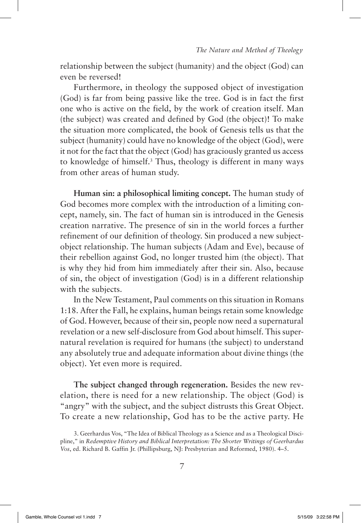relationship between the subject (humanity) and the object (God) can even be reversed!

Furthermore, in theology the supposed object of investigation (God) is far from being passive like the tree. God is in fact the first one who is active on the field, by the work of creation itself. Man (the subject) was created and defined by God (the object)! To make the situation more complicated, the book of Genesis tells us that the subject (humanity) could have no knowledge of the object (God), were it not for the fact that the object (God) has graciously granted us access to knowledge of himself.<sup>3</sup> Thus, theology is different in many ways from other areas of human study.

**Human sin: a philosophical limiting concept.** The human study of God becomes more complex with the introduction of a limiting concept, namely, sin. The fact of human sin is introduced in the Genesis creation narrative. The presence of sin in the world forces a further refinement of our definition of theology. Sin produced a new subjectobject relationship. The human subjects (Adam and Eve), because of their rebellion against God, no longer trusted him (the object). That is why they hid from him immediately after their sin. Also, because of sin, the object of investigation (God) is in a different relationship with the subjects.

In the New Testament, Paul comments on this situation in Romans 1:18. After the Fall, he explains, human beings retain some knowledge of God. However, because of their sin, people now need a supernatural revelation or a new self-disclosure from God about himself. This supernatural revelation is required for humans (the subject) to understand any absolutely true and adequate information about divine things (the object). Yet even more is required.

**The subject changed through regeneration.** Besides the new revelation, there is need for a new relationship. The object (God) is "angry" with the subject, and the subject distrusts this Great Object. To create a new relationship, God has to be the active party. He

<sup>3.</sup> Geerhardus Vos, "The Idea of Biblical Theology as a Science and as a Theological Discipline," in *Redemptive History and Biblical Interpretation: The Shorter Writings of Geerhardus Vos*, ed. Richard B. Gaffin Jr. (Phillipsburg, NJ: Presbyterian and Reformed, 1980). 4–5.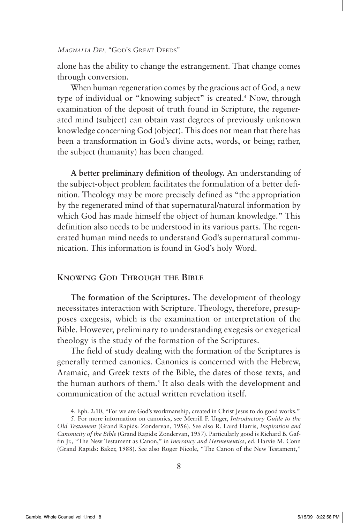alone has the ability to change the estrangement. That change comes through conversion.

When human regeneration comes by the gracious act of God, a new type of individual or "knowing subject" is created.<sup>4</sup> Now, through examination of the deposit of truth found in Scripture, the regenerated mind (subject) can obtain vast degrees of previously unknown knowledge concerning God (object). This does not mean that there has been a transformation in God's divine acts, words, or being; rather, the subject (humanity) has been changed.

**A better preliminary definition of theology.** An understanding of the subject-object problem facilitates the formulation of a better definition. Theology may be more precisely defined as "the appropriation by the regenerated mind of that supernatural/natural information by which God has made himself the object of human knowledge." This definition also needs to be understood in its various parts. The regenerated human mind needs to understand God's supernatural communication. This information is found in God's holy Word.

### **Knowing God Through the Bible**

**The formation of the Scriptures.** The development of theology necessitates interaction with Scripture. Theology, therefore, presupposes exegesis, which is the examination or interpretation of the Bible. However, preliminary to understanding exegesis or exegetical theology is the study of the formation of the Scriptures.

The field of study dealing with the formation of the Scriptures is generally termed canonics. Canonics is concerned with the Hebrew, Aramaic, and Greek texts of the Bible, the dates of those texts, and the human authors of them.<sup>5</sup> It also deals with the development and communication of the actual written revelation itself.

<sup>4.</sup> Eph. 2:10, "For we are God's workmanship, created in Christ Jesus to do good works." 5. For more information on canonics, see Merrill F. Unger, *Introductory Guide to the Old Testament* (Grand Rapids: Zondervan, 1956). See also R. Laird Harris, *Inspiration and Canonicity of the Bible* (Grand Rapids: Zondervan, 1957). Particularly good is Richard B. Gaffin Jr., "The New Testament as Canon," in *Inerrancy and Hermeneutics*, ed. Harvie M. Conn (Grand Rapids: Baker, 1988). See also Roger Nicole, "The Canon of the New Testament,"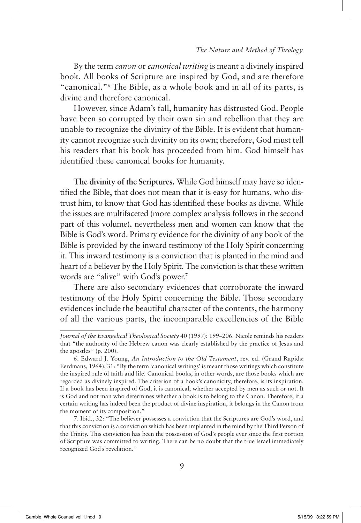### *The Nature and Method of Theology*

By the term *canon* or *canonical writing* is meant a divinely inspired book. All books of Scripture are inspired by God, and are therefore "canonical."6 The Bible, as a whole book and in all of its parts, is divine and therefore canonical.

However, since Adam's fall, humanity has distrusted God. People have been so corrupted by their own sin and rebellion that they are unable to recognize the divinity of the Bible. It is evident that humanity cannot recognize such divinity on its own; therefore, God must tell his readers that his book has proceeded from him. God himself has identified these canonical books for humanity.

**The divinity of the Scriptures.** While God himself may have so identified the Bible, that does not mean that it is easy for humans, who distrust him, to know that God has identified these books as divine. While the issues are multifaceted (more complex analysis follows in the second part of this volume), nevertheless men and women can know that the Bible is God's word. Primary evidence for the divinity of any book of the Bible is provided by the inward testimony of the Holy Spirit concerning it. This inward testimony is a conviction that is planted in the mind and heart of a believer by the Holy Spirit. The conviction is that these written words are "alive" with God's power.<sup>7</sup>

There are also secondary evidences that corroborate the inward testimony of the Holy Spirit concerning the Bible. Those secondary evidences include the beautiful character of the contents, the harmony of all the various parts, the incomparable excellencies of the Bible

*Journal of the Evangelical Theological Society* 40 (1997): 199–206. Nicole reminds his readers that "the authority of the Hebrew canon was clearly established by the practice of Jesus and the apostles" (p. 200).

<sup>6.</sup> Edward J. Young, *An Introduction to the Old Testament*, rev. ed. (Grand Rapids: Eerdmans, 1964), 31: "By the term 'canonical writings' is meant those writings which constitute the inspired rule of faith and life. Canonical books, in other words, are those books which are regarded as divinely inspired. The criterion of a book's canonicity, therefore, is its inspiration. If a book has been inspired of God, it is canonical, whether accepted by men as such or not. It is God and not man who determines whether a book is to belong to the Canon. Therefore, if a certain writing has indeed been the product of divine inspiration, it belongs in the Canon from the moment of its composition."

<sup>7.</sup> Ibid., 32: "The believer possesses a conviction that the Scriptures are God's word, and that this conviction is a conviction which has been implanted in the mind by the Third Person of the Trinity. This conviction has been the possession of God's people ever since the first portion of Scripture was committed to writing. There can be no doubt that the true Israel immediately recognized God's revelation."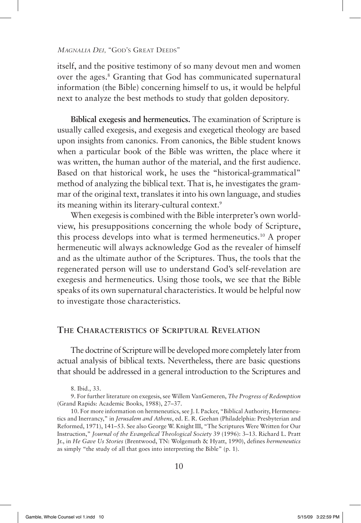itself, and the positive testimony of so many devout men and women over the ages.<sup>8</sup> Granting that God has communicated supernatural information (the Bible) concerning himself to us, it would be helpful next to analyze the best methods to study that golden depository.

**Biblical exegesis and hermeneutics.** The examination of Scripture is usually called exegesis, and exegesis and exegetical theology are based upon insights from canonics. From canonics, the Bible student knows when a particular book of the Bible was written, the place where it was written, the human author of the material, and the first audience. Based on that historical work, he uses the "historical-grammatical" method of analyzing the biblical text. That is, he investigates the grammar of the original text, translates it into his own language, and studies its meaning within its literary-cultural context.<sup>9</sup>

When exegesis is combined with the Bible interpreter's own worldview, his presuppositions concerning the whole body of Scripture, this process develops into what is termed hermeneutics.10 A proper hermeneutic will always acknowledge God as the revealer of himself and as the ultimate author of the Scriptures. Thus, the tools that the regenerated person will use to understand God's self-revelation are exegesis and hermeneutics. Using those tools, we see that the Bible speaks of its own supernatural characteristics. It would be helpful now to investigate those characteristics.

### **The Characteristics of Scriptural Revelation**

The doctrine of Scripture will be developed more completely later from actual analysis of biblical texts. Nevertheless, there are basic questions that should be addressed in a general introduction to the Scriptures and

8. Ibid., 33.

9. For further literature on exegesis, see Willem VanGemeren, *The Progress of Redemption* (Grand Rapids: Academic Books, 1988), 27–37.

10. For more information on hermeneutics, see J. I. Packer, "Biblical Authority, Hermeneutics and Inerrancy," in *Jerusalem and Athens*, ed. E. R. Geehan (Philadelphia: Presbyterian and Reformed, 1971), 141–53. See also George W. Knight III, "The Scriptures Were Written for Our Instruction," *Journal of the Evangelical Theological Society* 39 (1996): 3–13. Richard L. Pratt Jr., in *He Gave Us Stories* (Brentwood, TN: Wolgemuth & Hyatt, 1990), defines *hermeneutics* as simply "the study of all that goes into interpreting the Bible" (p. 1).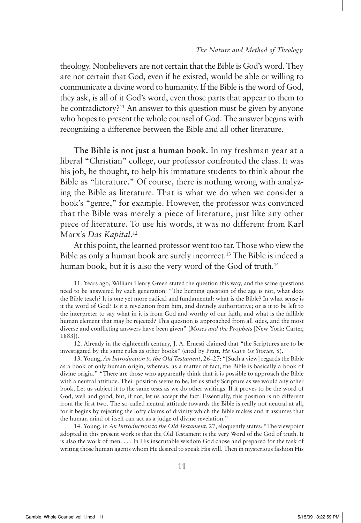### *The Nature and Method of Theology*

theology. Nonbelievers are not certain that the Bible is God's word. They are not certain that God, even if he existed, would be able or willing to communicate a divine word to humanity. If the Bible is the word of God, they ask, is all of it God's word, even those parts that appear to them to be contradictory?11 An answer to this question must be given by anyone who hopes to present the whole counsel of God. The answer begins with recognizing a difference between the Bible and all other literature.

**The Bible is not just a human book.** In my freshman year at a liberal "Christian" college, our professor confronted the class. It was his job, he thought, to help his immature students to think about the Bible as "literature." Of course, there is nothing wrong with analyzing the Bible as literature. That is what we do when we consider a book's "genre," for example. However, the professor was convinced that the Bible was merely a piece of literature, just like any other piece of literature. To use his words, it was no different from Karl Marx's *Das Kapital*. 12

At this point, the learned professor went too far. Those who view the Bible as only a human book are surely incorrect.13 The Bible is indeed a human book, but it is also the very word of the God of truth.<sup>14</sup>

11. Years ago, William Henry Green stated the question this way, and the same questions need to be answered by each generation: "The burning question of the age is not, what does the Bible teach? It is one yet more radical and fundamental: what is the Bible? In what sense is it the word of God? Is it a revelation from him, and divinely authoritative; or is it to be left to the interpreter to say what in it is from God and worthy of our faith, and what is the fallible human element that may be rejected? This question is approached from all sides, and the most diverse and conflicting answers have been given" (*Moses and the Prophets* [New York: Carter, 1883]).

12. Already in the eighteenth century, J. A. Ernesti claimed that "the Scriptures are to be investigated by the same rules as other books" (cited by Pratt, *He Gave Us Stories*, 8).

13. Young, *An Introduction to the Old Testament*, 26–27: "[Such a view] regards the Bible as a book of only human origin, whereas, as a matter of fact, the Bible is basically a book of divine origin." "There are those who apparently think that it is possible to approach the Bible with a neutral attitude. Their position seems to be, let us study Scripture as we would any other book. Let us subject it to the same tests as we do other writings. If it proves to be the word of God, well and good, but, if not, let us accept the fact. Essentially, this position is no different from the first two. The so-called neutral attitude towards the Bible is really not neutral at all, for it begins by rejecting the lofty claims of divinity which the Bible makes and it assumes that the human mind of itself can act as a judge of divine revelation."

14. Young, in *An Introduction to the Old Testament*, 27, eloquently states: "The viewpoint adopted in this present work is that the Old Testament is the very Word of the God of truth. It is also the work of men. . . . In His inscrutable wisdom God chose and prepared for the task of writing those human agents whom He desired to speak His will. Then in mysterious fashion His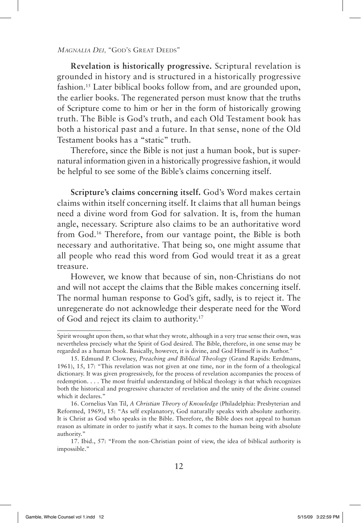**Revelation is historically progressive.** Scriptural revelation is grounded in history and is structured in a historically progressive fashion.15 Later biblical books follow from, and are grounded upon, the earlier books. The regenerated person must know that the truths of Scripture come to him or her in the form of historically growing truth. The Bible is God's truth, and each Old Testament book has both a historical past and a future. In that sense, none of the Old Testament books has a "static" truth.

Therefore, since the Bible is not just a human book, but is supernatural information given in a historically progressive fashion, it would be helpful to see some of the Bible's claims concerning itself.

**Scripture's claims concerning itself.** God's Word makes certain claims within itself concerning itself. It claims that all human beings need a divine word from God for salvation. It is, from the human angle, necessary. Scripture also claims to be an authoritative word from God.16 Therefore, from our vantage point, the Bible is both necessary and authoritative. That being so, one might assume that all people who read this word from God would treat it as a great treasure.

However, we know that because of sin, non-Christians do not and will not accept the claims that the Bible makes concerning itself. The normal human response to God's gift, sadly, is to reject it. The unregenerate do not acknowledge their desperate need for the Word of God and reject its claim to authority.17

Spirit wrought upon them, so that what they wrote, although in a very true sense their own, was nevertheless precisely what the Spirit of God desired. The Bible, therefore, in one sense may be regarded as a human book. Basically, however, it is divine, and God Himself is its Author."

<sup>15.</sup> Edmund P. Clowney, *Preaching and Biblical Theology* (Grand Rapids: Eerdmans, 1961), 15, 17: "This revelation was not given at one time, nor in the form of a theological dictionary. It was given progressively, for the process of revelation accompanies the process of redemption. . . . The most fruitful understanding of biblical theology is that which recognizes both the historical and progressive character of revelation and the unity of the divine counsel which it declares."

<sup>16.</sup> Cornelius Van Til, *A Christian Theory of Knowledge* (Philadelphia: Presbyterian and Reformed, 1969), 15: "As self explanatory, God naturally speaks with absolute authority. It is Christ as God who speaks in the Bible. Therefore, the Bible does not appeal to human reason as ultimate in order to justify what it says. It comes to the human being with absolute authority."

<sup>17.</sup> Ibid., 57: "From the non-Christian point of view, the idea of biblical authority is impossible."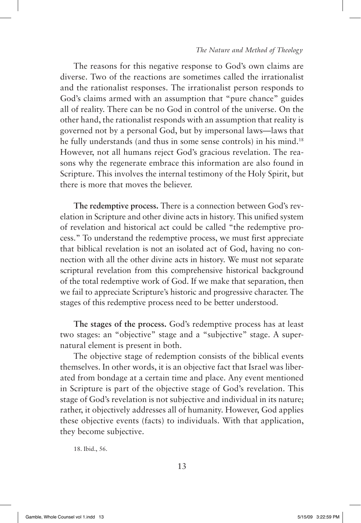### *The Nature and Method of Theology*

The reasons for this negative response to God's own claims are diverse. Two of the reactions are sometimes called the irrationalist and the rationalist responses. The irrationalist person responds to God's claims armed with an assumption that "pure chance" guides all of reality. There can be no God in control of the universe. On the other hand, the rationalist responds with an assumption that reality is governed not by a personal God, but by impersonal laws—laws that he fully understands (and thus in some sense controls) in his mind.<sup>18</sup> However, not all humans reject God's gracious revelation. The reasons why the regenerate embrace this information are also found in Scripture. This involves the internal testimony of the Holy Spirit, but there is more that moves the believer.

**The redemptive process.** There is a connection between God's revelation in Scripture and other divine acts in history. This unified system of revelation and historical act could be called "the redemptive process." To understand the redemptive process, we must first appreciate that biblical revelation is not an isolated act of God, having no connection with all the other divine acts in history. We must not separate scriptural revelation from this comprehensive historical background of the total redemptive work of God. If we make that separation, then we fail to appreciate Scripture's historic and progressive character. The stages of this redemptive process need to be better understood.

**The stages of the process.** God's redemptive process has at least two stages: an "objective" stage and a "subjective" stage. A supernatural element is present in both.

The objective stage of redemption consists of the biblical events themselves. In other words, it is an objective fact that Israel was liberated from bondage at a certain time and place. Any event mentioned in Scripture is part of the objective stage of God's revelation. This stage of God's revelation is not subjective and individual in its nature; rather, it objectively addresses all of humanity. However, God applies these objective events (facts) to individuals. With that application, they become subjective.

18. Ibid., 56.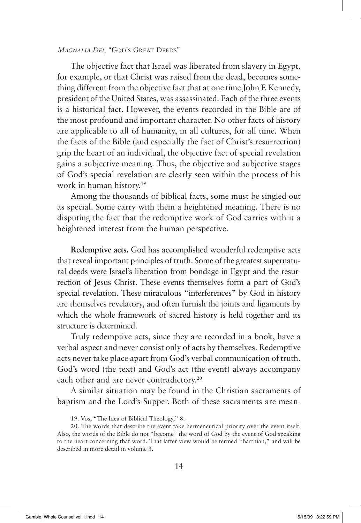The objective fact that Israel was liberated from slavery in Egypt, for example, or that Christ was raised from the dead, becomes something different from the objective fact that at one time John F. Kennedy, president of the United States, was assassinated. Each of the three events is a historical fact. However, the events recorded in the Bible are of the most profound and important character. No other facts of history are applicable to all of humanity, in all cultures, for all time. When the facts of the Bible (and especially the fact of Christ's resurrection) grip the heart of an individual, the objective fact of special revelation gains a subjective meaning. Thus, the objective and subjective stages of God's special revelation are clearly seen within the process of his work in human history.19

Among the thousands of biblical facts, some must be singled out as special. Some carry with them a heightened meaning. There is no disputing the fact that the redemptive work of God carries with it a heightened interest from the human perspective.

**Redemptive acts.** God has accomplished wonderful redemptive acts that reveal important principles of truth. Some of the greatest supernatural deeds were Israel's liberation from bondage in Egypt and the resurrection of Jesus Christ. These events themselves form a part of God's special revelation. These miraculous "interferences" by God in history are themselves revelatory, and often furnish the joints and ligaments by which the whole framework of sacred history is held together and its structure is determined.

Truly redemptive acts, since they are recorded in a book, have a verbal aspect and never consist only of acts by themselves. Redemptive acts never take place apart from God's verbal communication of truth. God's word (the text) and God's act (the event) always accompany each other and are never contradictory.<sup>20</sup>

A similar situation may be found in the Christian sacraments of baptism and the Lord's Supper. Both of these sacraments are mean-

<sup>19.</sup> Vos, "The Idea of Biblical Theology," 8.

<sup>20.</sup> The words that describe the event take hermeneutical priority over the event itself. Also, the words of the Bible do not "become" the word of God by the event of God speaking to the heart concerning that word. That latter view would be termed "Barthian," and will be described in more detail in volume 3.